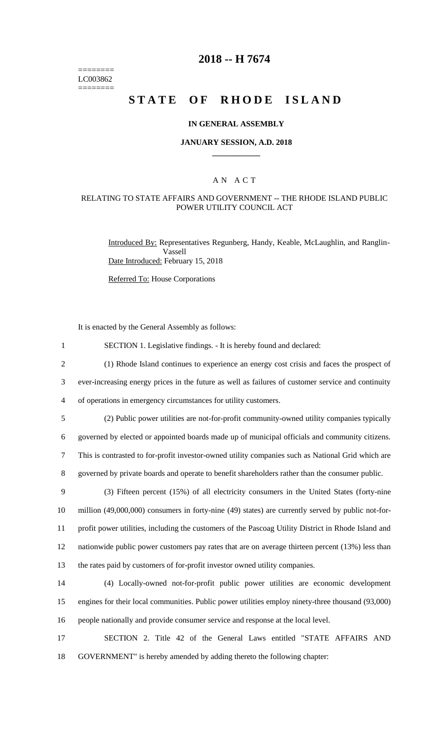======== LC003862 ========

### **2018 -- H 7674**

# **STATE OF RHODE ISLAND**

#### **IN GENERAL ASSEMBLY**

#### **JANUARY SESSION, A.D. 2018 \_\_\_\_\_\_\_\_\_\_\_\_**

### A N A C T

#### RELATING TO STATE AFFAIRS AND GOVERNMENT -- THE RHODE ISLAND PUBLIC POWER UTILITY COUNCIL ACT

Introduced By: Representatives Regunberg, Handy, Keable, McLaughlin, and Ranglin-Vassell Date Introduced: February 15, 2018

Referred To: House Corporations

It is enacted by the General Assembly as follows:

|  |  | SECTION 1. Legislative findings. - It is hereby found and declared: |  |  |  |  |  |
|--|--|---------------------------------------------------------------------|--|--|--|--|--|
|--|--|---------------------------------------------------------------------|--|--|--|--|--|

2 (1) Rhode Island continues to experience an energy cost crisis and faces the prospect of 3 ever-increasing energy prices in the future as well as failures of customer service and continuity 4 of operations in emergency circumstances for utility customers.

5 (2) Public power utilities are not-for-profit community-owned utility companies typically 6 governed by elected or appointed boards made up of municipal officials and community citizens. 7 This is contrasted to for-profit investor-owned utility companies such as National Grid which are

8 governed by private boards and operate to benefit shareholders rather than the consumer public.

 (3) Fifteen percent (15%) of all electricity consumers in the United States (forty-nine million (49,000,000) consumers in forty-nine (49) states) are currently served by public not-for- profit power utilities, including the customers of the Pascoag Utility District in Rhode Island and nationwide public power customers pay rates that are on average thirteen percent (13%) less than the rates paid by customers of for-profit investor owned utility companies.

14 (4) Locally-owned not-for-profit public power utilities are economic development 15 engines for their local communities. Public power utilities employ ninety-three thousand (93,000) 16 people nationally and provide consumer service and response at the local level.

17 SECTION 2. Title 42 of the General Laws entitled "STATE AFFAIRS AND 18 GOVERNMENT" is hereby amended by adding thereto the following chapter: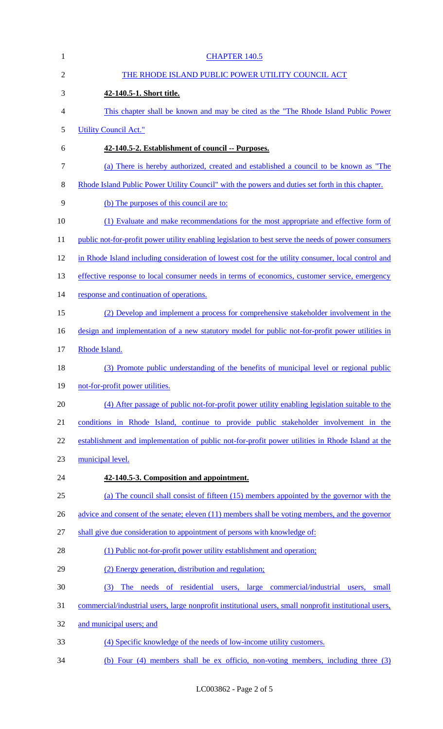| $\mathbf{1}$   | <b>CHAPTER 140.5</b>                                                                                   |
|----------------|--------------------------------------------------------------------------------------------------------|
| $\overline{2}$ | THE RHODE ISLAND PUBLIC POWER UTILITY COUNCIL ACT                                                      |
| 3              | 42-140.5-1. Short title.                                                                               |
| 4              | This chapter shall be known and may be cited as the "The Rhode Island Public Power"                    |
| 5              | <b>Utility Council Act."</b>                                                                           |
| 6              | 42-140.5-2. Establishment of council -- Purposes.                                                      |
| 7              | (a) There is hereby authorized, created and established a council to be known as "The                  |
| 8              | Rhode Island Public Power Utility Council" with the powers and duties set forth in this chapter.       |
| 9              | (b) The purposes of this council are to:                                                               |
| 10             | (1) Evaluate and make recommendations for the most appropriate and effective form of                   |
| 11             | public not-for-profit power utility enabling legislation to best serve the needs of power consumers    |
| 12             | in Rhode Island including consideration of lowest cost for the utility consumer, local control and     |
| 13             | effective response to local consumer needs in terms of economics, customer service, emergency          |
| 14             | response and continuation of operations.                                                               |
| 15             | (2) Develop and implement a process for comprehensive stakeholder involvement in the                   |
| 16             | design and implementation of a new statutory model for public not-for-profit power utilities in        |
| 17             | Rhode Island.                                                                                          |
| 18             | (3) Promote public understanding of the benefits of municipal level or regional public                 |
| 19             | not-for-profit power utilities.                                                                        |
| 20             | (4) After passage of public not-for-profit power utility enabling legislation suitable to the          |
| 21             | conditions in Rhode Island, continue to provide public stakeholder involvement in the                  |
| 22             | establishment and implementation of public not-for-profit power utilities in Rhode Island at the       |
| 23             | municipal level.                                                                                       |
| 24             | 42-140.5-3. Composition and appointment.                                                               |
| 25             | (a) The council shall consist of fifteen (15) members appointed by the governor with the               |
| 26             | advice and consent of the senate; eleven (11) members shall be voting members, and the governor        |
| 27             | shall give due consideration to appointment of persons with knowledge of:                              |
| 28             | (1) Public not-for-profit power utility establishment and operation;                                   |
| 29             | (2) Energy generation, distribution and regulation;                                                    |
| 30             | The needs of residential users, large commercial/industrial users, small<br>(3)                        |
| 31             | commercial/industrial users, large nonprofit institutional users, small nonprofit institutional users, |
| 32             | and municipal users; and                                                                               |
| 33             | (4) Specific knowledge of the needs of low-income utility customers.                                   |
| 34             | (b) Four (4) members shall be ex officio, non-voting members, including three (3)                      |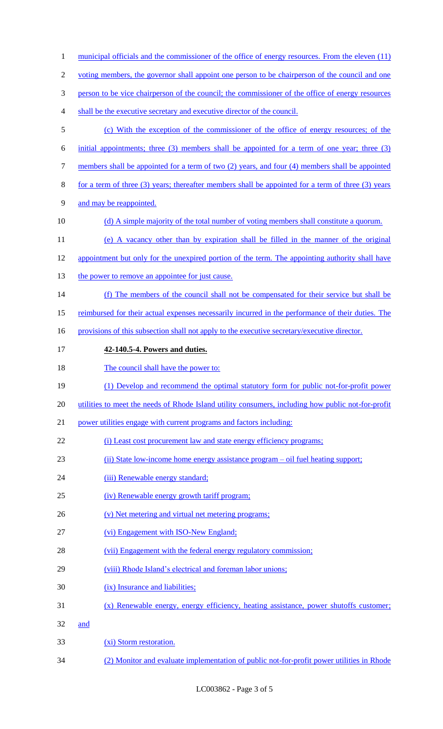| $\mathbf{1}$   | municipal officials and the commissioner of the office of energy resources. From the eleven (11)   |
|----------------|----------------------------------------------------------------------------------------------------|
| $\overline{c}$ | voting members, the governor shall appoint one person to be chairperson of the council and one     |
| 3              | person to be vice chairperson of the council; the commissioner of the office of energy resources   |
| 4              | shall be the executive secretary and executive director of the council.                            |
| $\mathfrak s$  | (c) With the exception of the commissioner of the office of energy resources; of the               |
| 6              | initial appointments; three (3) members shall be appointed for a term of one year; three (3)       |
| 7              | members shall be appointed for a term of two (2) years, and four (4) members shall be appointed    |
| 8              | for a term of three (3) years; thereafter members shall be appointed for a term of three (3) years |
| 9              | and may be reappointed.                                                                            |
| 10             | (d) A simple majority of the total number of voting members shall constitute a quorum.             |
| 11             | (e) A vacancy other than by expiration shall be filled in the manner of the original               |
| 12             | appointment but only for the unexpired portion of the term. The appointing authority shall have    |
| 13             | the power to remove an appointee for just cause.                                                   |
| 14             | (f) The members of the council shall not be compensated for their service but shall be             |
| 15             | reimbursed for their actual expenses necessarily incurred in the performance of their duties. The  |
| 16             | provisions of this subsection shall not apply to the executive secretary/executive director.       |
| 17             | 42-140.5-4. Powers and duties.                                                                     |
| 18             | The council shall have the power to:                                                               |
| 19             | (1) Develop and recommend the optimal statutory form for public not-for-profit power               |
| 20             | utilities to meet the needs of Rhode Island utility consumers, including how public not-for-profit |
| 21             | power utilities engage with current programs and factors including:                                |
| 22             | (i) Least cost procurement law and state energy efficiency programs;                               |
| 23             | (ii) State low-income home energy assistance program – oil fuel heating support;                   |
| 24             | (iii) Renewable energy standard;                                                                   |
| 25             | (iv) Renewable energy growth tariff program;                                                       |
| 26             | (v) Net metering and virtual net metering programs;                                                |
| 27             | (vi) Engagement with ISO-New England;                                                              |
| 28             | (vii) Engagement with the federal energy regulatory commission;                                    |
| 29             | (viii) Rhode Island's electrical and foreman labor unions;                                         |
| 30             | (ix) Insurance and liabilities;                                                                    |
| 31             | $(x)$ Renewable energy, energy efficiency, heating assistance, power shutoffs customer;            |
| 32             | and                                                                                                |
| 33             | (xi) Storm restoration.                                                                            |
| 34             | (2) Monitor and evaluate implementation of public not-for-profit power utilities in Rhode          |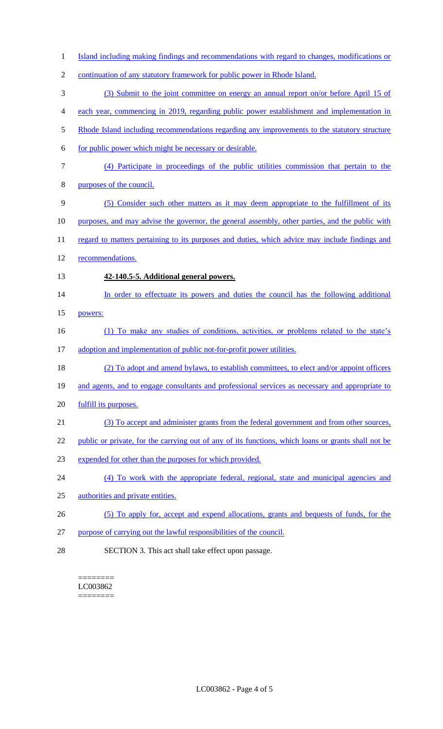| $\mathbf{1}$   | Island including making findings and recommendations with regard to changes, modifications or       |
|----------------|-----------------------------------------------------------------------------------------------------|
| $\overline{2}$ | continuation of any statutory framework for public power in Rhode Island.                           |
| 3              | (3) Submit to the joint committee on energy an annual report on/or before April 15 of               |
|                |                                                                                                     |
| $\overline{4}$ | each year, commencing in 2019, regarding public power establishment and implementation in           |
| 5              | Rhode Island including recommendations regarding any improvements to the statutory structure        |
| 6              | for public power which might be necessary or desirable.                                             |
| 7              | (4) Participate in proceedings of the public utilities commission that pertain to the               |
| 8              | purposes of the council.                                                                            |
| 9              | (5) Consider such other matters as it may deem appropriate to the fulfillment of its                |
| 10             | purposes, and may advise the governor, the general assembly, other parties, and the public with     |
| 11             | regard to matters pertaining to its purposes and duties, which advice may include findings and      |
| 12             | recommendations.                                                                                    |
| 13             | 42-140.5-5. Additional general powers.                                                              |
| 14             | In order to effectuate its powers and duties the council has the following additional               |
| 15             | powers:                                                                                             |
| 16             | (1) To make any studies of conditions, activities, or problems related to the state's               |
| 17             | adoption and implementation of public not-for-profit power utilities.                               |
| 18             | (2) To adopt and amend bylaws, to establish committees, to elect and/or appoint officers            |
| 19             | and agents, and to engage consultants and professional services as necessary and appropriate to     |
| 20             | fulfill its purposes.                                                                               |
| 21             | (3) To accept and administer grants from the federal government and from other sources,             |
| 22             | public or private, for the carrying out of any of its functions, which loans or grants shall not be |
| 23             | expended for other than the purposes for which provided.                                            |
| 24             | (4) To work with the appropriate federal, regional, state and municipal agencies and                |
| 25             | authorities and private entities.                                                                   |
| 26             | (5) To apply for, accept and expend allocations, grants and bequests of funds, for the              |
| 27             | purpose of carrying out the lawful responsibilities of the council.                                 |
| 28             | SECTION 3. This act shall take effect upon passage.                                                 |

======== LC003862 ========